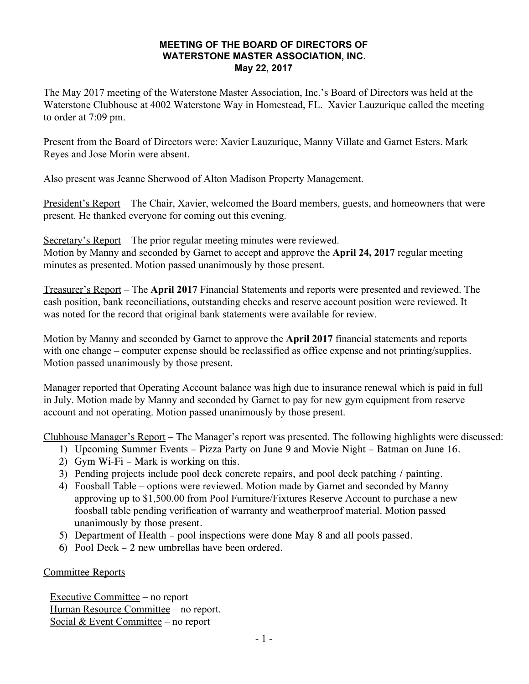#### **MEETING OF THE BOARD OF DIRECTORS OF WATERSTONE MASTER ASSOCIATION, INC. May 22, 2017**

The May 2017 meeting of the Waterstone Master Association, Inc.'s Board of Directors was held at the Waterstone Clubhouse at 4002 Waterstone Way in Homestead, FL. Xavier Lauzurique called the meeting to order at 7:09 pm.

Present from the Board of Directors were: Xavier Lauzurique, Manny Villate and Garnet Esters. Mark Reyes and Jose Morin were absent.

Also present was Jeanne Sherwood of Alton Madison Property Management.

President's Report – The Chair, Xavier, welcomed the Board members, guests, and homeowners that were present. He thanked everyone for coming out this evening.

Secretary's Report – The prior regular meeting minutes were reviewed. Motion by Manny and seconded by Garnet to accept and approve the **April 24, 2017** regular meeting minutes as presented. Motion passed unanimously by those present.

Treasurer's Report – The **April 2017** Financial Statements and reports were presented and reviewed. The cash position, bank reconciliations, outstanding checks and reserve account position were reviewed. It was noted for the record that original bank statements were available for review.

Motion by Manny and seconded by Garnet to approve the **April 2017** financial statements and reports with one change – computer expense should be reclassified as office expense and not printing/supplies. Motion passed unanimously by those present.

Manager reported that Operating Account balance was high due to insurance renewal which is paid in full in July. Motion made by Manny and seconded by Garnet to pay for new gym equipment from reserve account and not operating. Motion passed unanimously by those present.

Clubhouse Manager's Report – The Manager's report was presented. The following highlights were discussed:

- 1) Upcoming Summer Events Pizza Party on June 9 and Movie Night Batman on June 16.
- 2) Gym Wi-Fi Mark is working on this.
- 3) Pending projects include pool deck concrete repairs, and pool deck patching / painting.
- 4) Foosball Table options were reviewed. Motion made by Garnet and seconded by Manny approving up to \$1,500.00 from Pool Furniture/Fixtures Reserve Account to purchase a new foosball table pending verification of warranty and weatherproof material. Motion passed unanimously by those present.
- 5) Department of Health pool inspections were done May 8 and all pools passed.
- 6) Pool Deck 2 new umbrellas have been ordered.

## Committee Reports

Executive Committee – no report Human Resource Committee – no report. Social & Event Committee – no report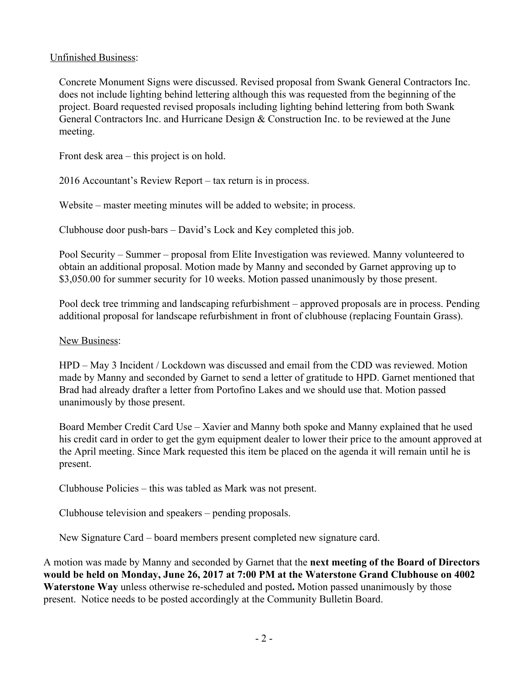### Unfinished Business:

Concrete Monument Signs were discussed. Revised proposal from Swank General Contractors Inc. does not include lighting behind lettering although this was requested from the beginning of the project. Board requested revised proposals including lighting behind lettering from both Swank General Contractors Inc. and Hurricane Design & Construction Inc. to be reviewed at the June meeting.

Front desk area – this project is on hold.

2016 Accountant's Review Report – tax return is in process.

Website – master meeting minutes will be added to website; in process.

Clubhouse door push-bars – David's Lock and Key completed this job.

Pool Security – Summer – proposal from Elite Investigation was reviewed. Manny volunteered to obtain an additional proposal. Motion made by Manny and seconded by Garnet approving up to \$3,050.00 for summer security for 10 weeks. Motion passed unanimously by those present.

Pool deck tree trimming and landscaping refurbishment – approved proposals are in process. Pending additional proposal for landscape refurbishment in front of clubhouse (replacing Fountain Grass).

#### New Business:

HPD – May 3 Incident / Lockdown was discussed and email from the CDD was reviewed. Motion made by Manny and seconded by Garnet to send a letter of gratitude to HPD. Garnet mentioned that Brad had already drafter a letter from Portofino Lakes and we should use that. Motion passed unanimously by those present.

Board Member Credit Card Use – Xavier and Manny both spoke and Manny explained that he used his credit card in order to get the gym equipment dealer to lower their price to the amount approved at the April meeting. Since Mark requested this item be placed on the agenda it will remain until he is present.

Clubhouse Policies – this was tabled as Mark was not present.

Clubhouse television and speakers – pending proposals.

New Signature Card – board members present completed new signature card.

A motion was made by Manny and seconded by Garnet that the **next meeting of the Board of Directors would be held on Monday, June 26, 2017 at 7:00 PM at the Waterstone Grand Clubhouse on 4002 Waterstone Way** unless otherwise re-scheduled and posted**.** Motion passed unanimously by those present. Notice needs to be posted accordingly at the Community Bulletin Board.